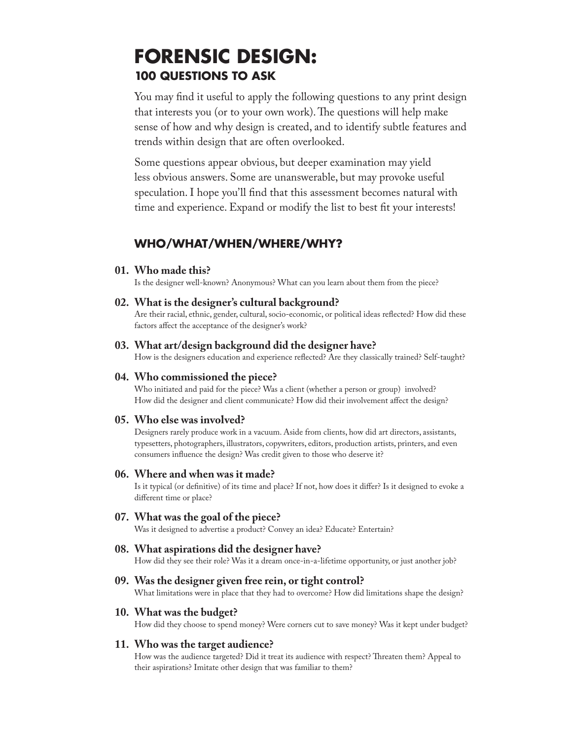# **FORENSIC DESIGN: 100 QUESTIONS TO ASK**

You may find it useful to apply the following questions to any print design that interests you (or to your own work). The questions will help make sense of how and why design is created, and to identify subtle features and trends within design that are often overlooked.

Some questions appear obvious, but deeper examination may yield less obvious answers. Some are unanswerable, but may provoke useful speculation. I hope you'll find that this assessment becomes natural with time and experience. Expand or modify the list to best fit your interests!

# **WHO/WHAT/WHEN/WHERE/WHY?**

# **01. Who made this?**

Is the designer well-known? Anonymous? What can you learn about them from the piece?

# **02. What is the designer's cultural background?**

Are their racial, ethnic, gender, cultural, socio-economic, or political ideas reflected? How did these factors affect the acceptance of the designer's work?

# **03. What art/design background did the designer have?**

How is the designers education and experience reflected? Are they classically trained? Self-taught?

### **04. Who commissioned the piece?**

Who initiated and paid for the piece? Was a client (whether a person or group) involved? How did the designer and client communicate? How did their involvement affect the design?

# **05. Who else was involved?**

Designers rarely produce work in a vacuum. Aside from clients, how did art directors, assistants, typesetters, photographers, illustrators, copywriters, editors, production artists, printers, and even consumers influence the design? Was credit given to those who deserve it?

### **06. Where and when was it made?**

Is it typical (or definitive) of its time and place? If not, how does it differ? Is it designed to evoke a different time or place?

### **07. What was the goal of the piece?**

Was it designed to advertise a product? Convey an idea? Educate? Entertain?

# **08. What aspirations did the designer have?**

How did they see their role? Was it a dream once-in-a-lifetime opportunity, or just another job?

## **09. Was the designer given free rein, or tight control?**

What limitations were in place that they had to overcome? How did limitations shape the design?

# **10. What was the budget?**

How did they choose to spend money? Were corners cut to save money? Was it kept under budget?

### **11. Who was the target audience?**

How was the audience targeted? Did it treat its audience with respect? Threaten them? Appeal to their aspirations? Imitate other design that was familiar to them?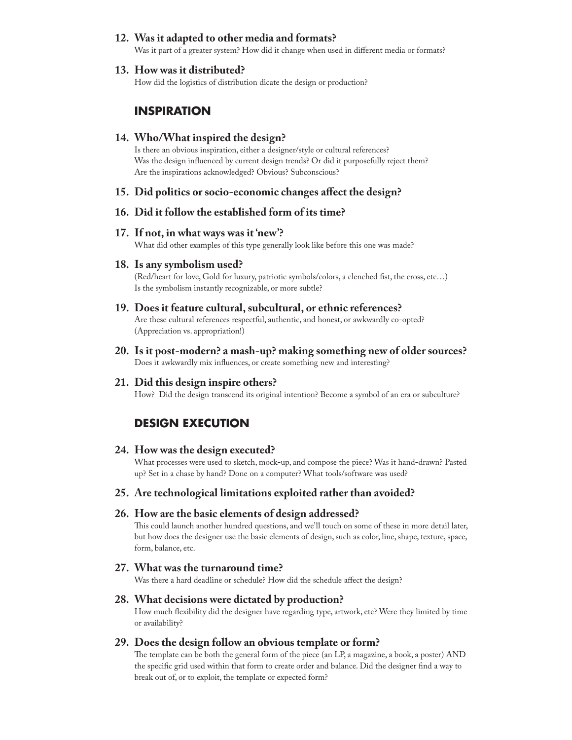# **12. Was it adapted to other media and formats?**

Was it part of a greater system? How did it change when used in different media or formats?

#### **13. How was it distributed?**

How did the logistics of distribution dicate the design or production?

# **INSPIRATION**

#### **14. Who/What inspired the design?**

Is there an obvious inspiration, either a designer/style or cultural references? Was the design influenced by current design trends? Or did it purposefully reject them? Are the inspirations acknowledged? Obvious? Subconscious?

#### **15. Did politics or socio-economic changes affect the design?**

# **16. Did it follow the established form of its time?**

#### **17. If not, in what ways was it 'new'?**

What did other examples of this type generally look like before this one was made?

#### **18. Is any symbolism used?**

(Red/heart for love, Gold for luxury, patriotic symbols/colors, a clenched fist, the cross, etc…) Is the symbolism instantly recognizable, or more subtle?

#### **19. Does it feature cultural, subcultural, or ethnic references?**

Are these cultural references respectful, authentic, and honest, or awkwardly co-opted? (Appreciation vs. appropriation!)

**20. Is it post-modern? a mash-up? making something new of older sources?** Does it awkwardly mix influences, or create something new and interesting?

#### **21. Did this design inspire others?**

How? Did the design transcend its original intention? Become a symbol of an era or subculture?

# **DESIGN EXECUTION**

#### **24. How was the design executed?**

What processes were used to sketch, mock-up, and compose the piece? Was it hand-drawn? Pasted up? Set in a chase by hand? Done on a computer? What tools/software was used?

#### **25. Are technological limitations exploited rather than avoided?**

#### **26. How are the basic elements of design addressed?**

This could launch another hundred questions, and we'll touch on some of these in more detail later, but how does the designer use the basic elements of design, such as color, line, shape, texture, space, form, balance, etc.

#### **27. What was the turnaround time?**

Was there a hard deadline or schedule? How did the schedule affect the design?

#### **28. What decisions were dictated by production?**

How much flexibility did the designer have regarding type, artwork, etc? Were they limited by time or availability?

## **29. Does the design follow an obvious template or form?**

The template can be both the general form of the piece (an LP, a magazine, a book, a poster) AND the specific grid used within that form to create order and balance. Did the designer find a way to break out of, or to exploit, the template or expected form?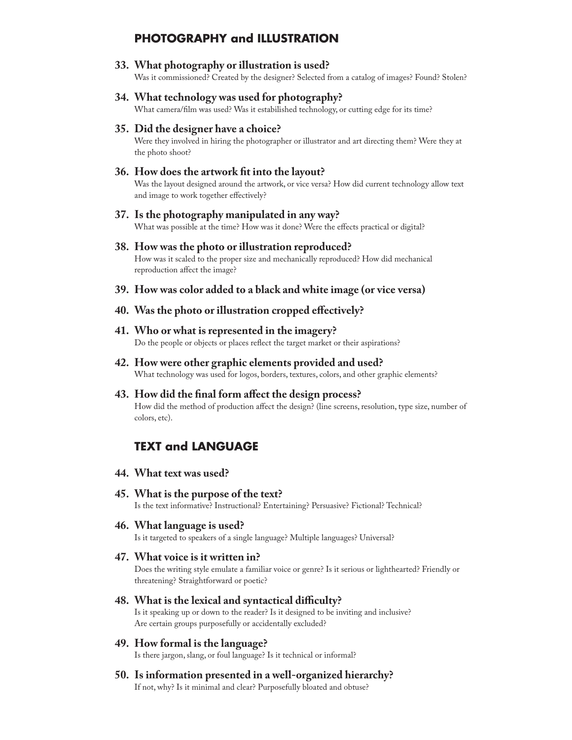# **PHOTOGRAPHY and ILLUSTRATION**

**33. What photography or illustration is used?**

Was it commissioned? Created by the designer? Selected from a catalog of images? Found? Stolen?

**34. What technology was used for photography?**

What camera/film was used? Was it estabilished technology, or cutting edge for its time?

**35. Did the designer have a choice?**

Were they involved in hiring the photographer or illustrator and art directing them? Were they at the photo shoot?

**36. How does the artwork fit into the layout?**

Was the layout designed around the artwork, or vice versa? How did current technology allow text and image to work together effectively?

**37. Is the photography manipulated in any way?**

What was possible at the time? How was it done? Were the effects practical or digital?

- **38. How was the photo or illustration reproduced?** How was it scaled to the proper size and mechanically reproduced? How did mechanical reproduction affect the image?
- **39. How was color added to a black and white image (or vice versa)**
- **40. Was the photo or illustration cropped effectively?**
- **41. Who or what is represented in the imagery?** Do the people or objects or places reflect the target market or their aspirations?
- **42. How were other graphic elements provided and used?** What technology was used for logos, borders, textures, colors, and other graphic elements?
- **43. How did the final form affect the design process?** How did the method of production affect the design? (line screens, resolution, type size, number of colors, etc).

# **TEXT and LANGUAGE**

- **44. What text was used?**
- **45. What is the purpose of the text?** Is the text informative? Instructional? Entertaining? Persuasive? Fictional? Technical?
- **46. What language is used?** Is it targeted to speakers of a single language? Multiple languages? Universal?
- **47. What voice is it written in?**

Does the writing style emulate a familiar voice or genre? Is it serious or lighthearted? Friendly or threatening? Straightforward or poetic?

- **48. What is the lexical and syntactical difficulty?**  Is it speaking up or down to the reader? Is it designed to be inviting and inclusive? Are certain groups purposefully or accidentally excluded?
- **49. How formal is the language?**

Is there jargon, slang, or foul language? Is it technical or informal?

**50. Is information presented in a well-organized hierarchy?** If not, why? Is it minimal and clear? Purposefully bloated and obtuse?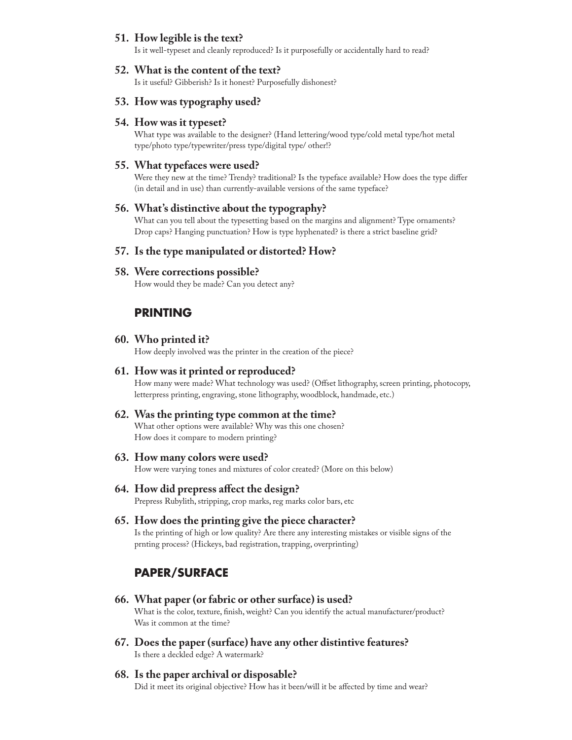## **51. How legible is the text?**

Is it well-typeset and cleanly reproduced? Is it purposefully or accidentally hard to read?

#### **52. What is the content of the text?**

Is it useful? Gibberish? Is it honest? Purposefully dishonest?

#### **53. How was typography used?**

#### **54. How was it typeset?**

What type was available to the designer? (Hand lettering/wood type/cold metal type/hot metal type/photo type/typewriter/press type/digital type/ other!?

#### **55. What typefaces were used?**

Were they new at the time? Trendy? traditional? Is the typeface available? How does the type differ (in detail and in use) than currently-available versions of the same typeface?

#### **56. What's distinctive about the typography?**

What can you tell about the typesetting based on the margins and alignment? Type ornaments? Drop caps? Hanging punctuation? How is type hyphenated? is there a strict baseline grid?

#### **57. Is the type manipulated or distorted? How?**

#### **58. Were corrections possible?**

How would they be made? Can you detect any?

# **PRINTING**

#### **60. Who printed it?**

How deeply involved was the printer in the creation of the piece?

#### **61. How was it printed or reproduced?**

How many were made? What technology was used? (Offset lithography, screen printing, photocopy, letterpress printing, engraving, stone lithography, woodblock, handmade, etc.)

#### **62. Was the printing type common at the time?**

What other options were available? Why was this one chosen? How does it compare to modern printing?

#### **63. How many colors were used?**

How were varying tones and mixtures of color created? (More on this below)

#### **64. How did prepress affect the design?**

Prepress Rubylith, stripping, crop marks, reg marks color bars, etc

#### **65. How does the printing give the piece character?**

Is the printing of high or low quality? Are there any interesting mistakes or visible signs of the prnting process? (Hickeys, bad registration, trapping, overprinting)

# **PAPER/SURFACE**

**66. What paper (or fabric or other surface) is used?**

What is the color, texture, finish, weight? Can you identify the actual manufacturer/product? Was it common at the time?

**67. Does the paper (surface) have any other distintive features?** Is there a deckled edge? A watermark?

#### **68. Is the paper archival or disposable?** Did it meet its original objective? How has it been/will it be affected by time and wear?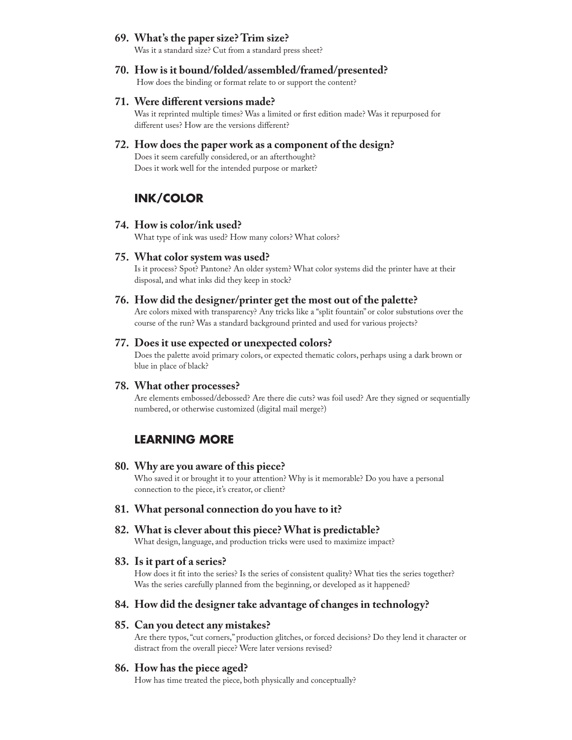#### **69. What's the paper size? Trim size?**

Was it a standard size? Cut from a standard press sheet?

- **70. How is it bound/folded/assembled/framed/presented?** How does the binding or format relate to or support the content?
- **71. Were different versions made?**

Was it reprinted multiple times? Was a limited or first edition made? Was it repurposed for different uses? How are the versions different?

**72. How does the paper work as a component of the design?**

Does it seem carefully considered, or an afterthought? Does it work well for the intended purpose or market?

# **INK/COLOR**

**74. How is color/ink used?**

What type of ink was used? How many colors? What colors?

**75. What color system was used?**

Is it process? Spot? Pantone? An older system? What color systems did the printer have at their disposal, and what inks did they keep in stock?

**76. How did the designer/printer get the most out of the palette?**

Are colors mixed with transparency? Any tricks like a "split fountain" or color substutions over the course of the run? Was a standard background printed and used for various projects?

# **77. Does it use expected or unexpected colors?**

Does the palette avoid primary colors, or expected thematic colors, perhaps using a dark brown or blue in place of black?

#### **78. What other processes?**

Are elements embossed/debossed? Are there die cuts? was foil used? Are they signed or sequentially numbered, or otherwise customized (digital mail merge?)

# **LEARNING MORE**

#### **80. Why are you aware of this piece?**

Who saved it or brought it to your attention? Why is it memorable? Do you have a personal connection to the piece, it's creator, or client?

**81. What personal connection do you have to it?**

### **82. What is clever about this piece? What is predictable?**

What design, language, and production tricks were used to maximize impact?

#### **83. Is it part of a series?**

How does it fit into the series? Is the series of consistent quality? What ties the series together? Was the series carefully planned from the beginning, or developed as it happened?

#### **84. How did the designer take advantage of changes in technology?**

#### **85. Can you detect any mistakes?**

Are there typos, "cut corners," production glitches, or forced decisions? Do they lend it character or distract from the overall piece? Were later versions revised?

#### **86. How has the piece aged?**

How has time treated the piece, both physically and conceptually?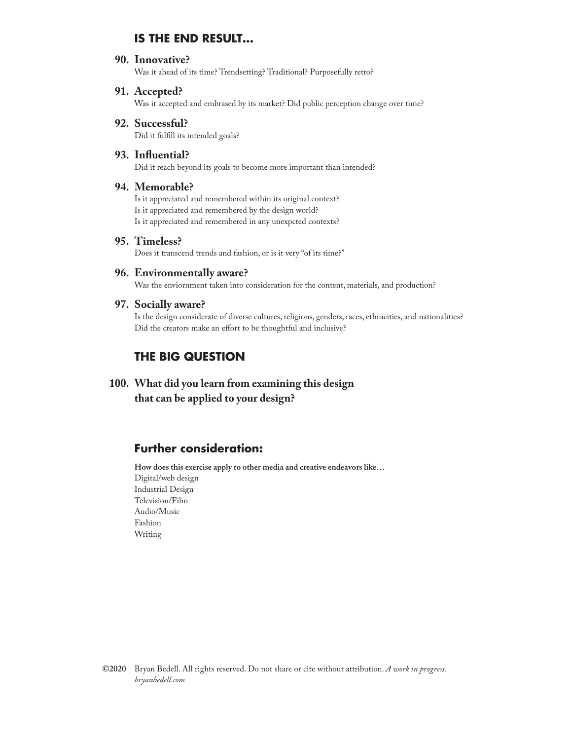# **IS THE END RESULT…**

#### **90. Innovative?**

Was it ahead of its time? Trendsetting? Traditional? Purposefully retro?

#### **91. Accepted?**

Was it accepted and embrased by its market? Did public perception change over time?

# **92. Successful?** Did it fulfill its intended goals?

#### **93. Influential?**

Did it reach beyond its goals to become more important than intended?

# **94. Memorable?**

Is it appreciated and remembered within its original context? Is it appreciated and remembered by the design world? Is it appreciated and remembered in any unexpcted contexts?

# **95. Timeless?**

Does it transcend trends and fashion, or is it very "of its time?"

#### **96. Environmentally aware?**

Was the enviornment taken into consideration for the content, materials, and production?

#### **97. Socially aware?**

Is the design considerate of diverse cultures, religions, genders, races, ethnicities, and nationalities? Did the creators make an effort to be thoughtful and inclusive?

# **THE BIG QUESTION**

**100. What did you learn from examining this design that can be applied to your design?**

# **Further consideration:**

**How does this exercise apply to other media and creative endeavors like…** Digital/web design Industrial Design Television/Film Audio/Music Fashion Writing